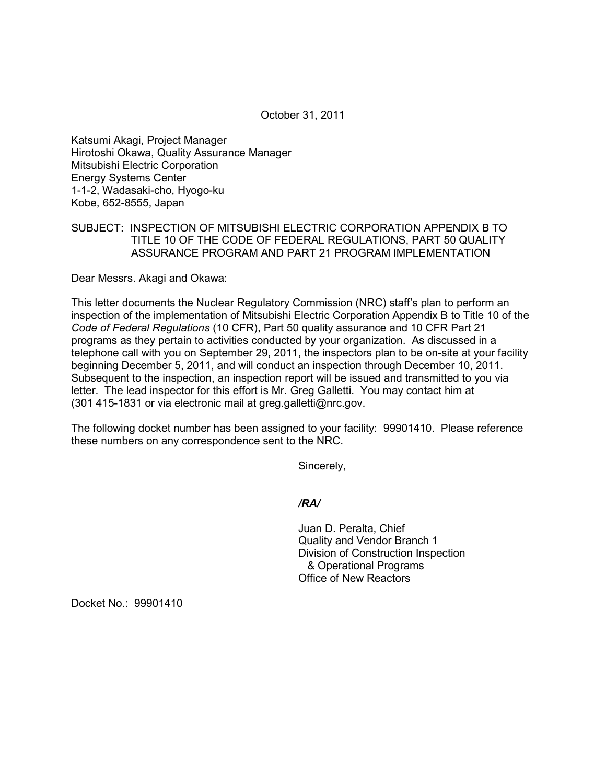October 31, 2011

Katsumi Akagi, Project Manager Hirotoshi Okawa, Quality Assurance Manager Mitsubishi Electric Corporation Energy Systems Center 1-1-2, Wadasaki-cho, Hyogo-ku Kobe, 652-8555, Japan

## SUBJECT: INSPECTION OF MITSUBISHI ELECTRIC CORPORATION APPENDIX B TO TITLE 10 OF THE CODE OF FEDERAL REGULATIONS, PART 50 QUALITY ASSURANCE PROGRAM AND PART 21 PROGRAM IMPLEMENTATION

Dear Messrs. Akagi and Okawa:

This letter documents the Nuclear Regulatory Commission (NRC) staff's plan to perform an inspection of the implementation of Mitsubishi Electric Corporation Appendix B to Title 10 of the *Code of Federal Regulations* (10 CFR), Part 50 quality assurance and 10 CFR Part 21 programs as they pertain to activities conducted by your organization. As discussed in a telephone call with you on September 29, 2011, the inspectors plan to be on-site at your facility beginning December 5, 2011, and will conduct an inspection through December 10, 2011. Subsequent to the inspection, an inspection report will be issued and transmitted to you via letter. The lead inspector for this effort is Mr. Greg Galletti. You may contact him at (301 415-1831 or via electronic mail at greg.galletti@nrc.gov.

The following docket number has been assigned to your facility: 99901410. Please reference these numbers on any correspondence sent to the NRC.

Sincerely,

*/RA/* 

Juan D. Peralta, Chief Quality and Vendor Branch 1 Division of Construction Inspection & Operational Programs Office of New Reactors

Docket No.: 99901410